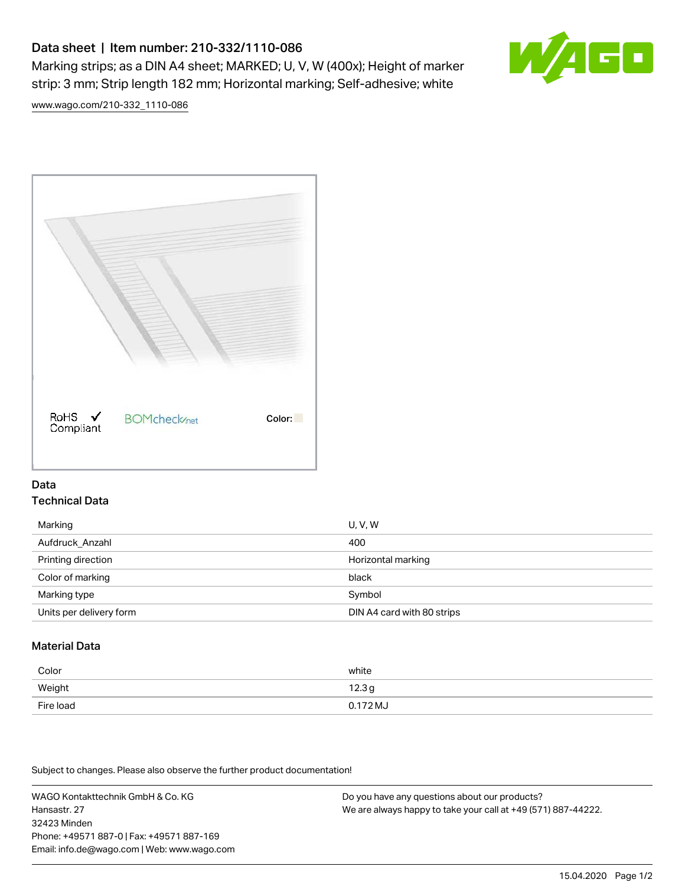# Data sheet | Item number: 210-332/1110-086

Marking strips; as a DIN A4 sheet; MARKED; U, V, W (400x); Height of marker strip: 3 mm; Strip length 182 mm; Horizontal marking; Self-adhesive; white



[www.wago.com/210-332\\_1110-086](http://www.wago.com/210-332_1110-086)



### Data Technical Data

| Marking                 | <b>U.V.W</b>               |
|-------------------------|----------------------------|
| Aufdruck Anzahl         | 400                        |
| Printing direction      | Horizontal marking         |
| Color of marking        | black                      |
| Marking type            | Symbol                     |
| Units per delivery form | DIN A4 card with 80 strips |

## Material Data

| Color     | white             |
|-----------|-------------------|
| Weight    | 12.3 <sub>g</sub> |
| Fire load | $0.172 M_J$       |

Subject to changes. Please also observe the further product documentation!

WAGO Kontakttechnik GmbH & Co. KG Hansastr. 27 32423 Minden Phone: +49571 887-0 | Fax: +49571 887-169 Email: info.de@wago.com | Web: www.wago.com

Do you have any questions about our products? We are always happy to take your call at +49 (571) 887-44222.